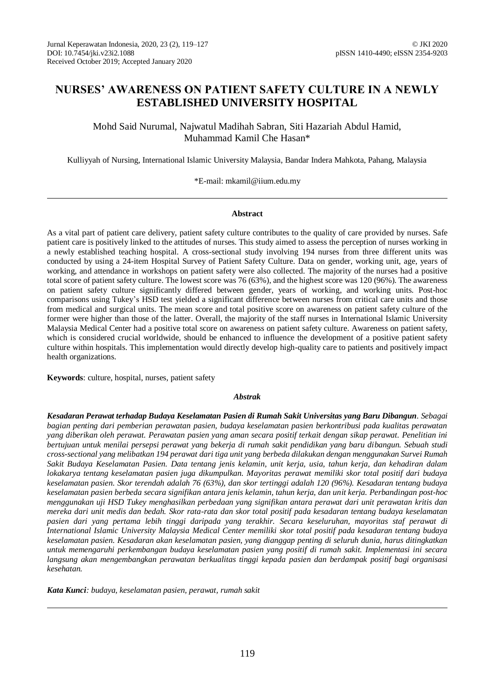### **NURSES' AWARENESS ON PATIENT SAFETY CULTURE IN A NEWLY ESTABLISHED UNIVERSITY HOSPITAL**

Mohd Said Nurumal, Najwatul Madihah Sabran, Siti Hazariah Abdul Hamid, Muhammad Kamil Che Hasan\*

Kulliyyah of Nursing, International Islamic University Malaysia, Bandar Indera Mahkota, Pahang, Malaysia

\*E-mail: mkamil@iium.edu.my

#### **Abstract**

As a vital part of patient care delivery, patient safety culture contributes to the quality of care provided by nurses. Safe patient care is positively linked to the attitudes of nurses. This study aimed to assess the perception of nurses working in a newly established teaching hospital. A cross-sectional study involving 194 nurses from three different units was conducted by using a 24-item Hospital Survey of Patient Safety Culture. Data on gender, working unit, age, years of working, and attendance in workshops on patient safety were also collected. The majority of the nurses had a positive total score of patient safety culture. The lowest score was 76 (63%), and the highest score was 120 (96%). The awareness on patient safety culture significantly differed between gender, years of working, and working units. Post-hoc comparisons using Tukey's HSD test yielded a significant difference between nurses from critical care units and those from medical and surgical units. The mean score and total positive score on awareness on patient safety culture of the former were higher than those of the latter. Overall, the majority of the staff nurses in International Islamic University Malaysia Medical Center had a positive total score on awareness on patient safety culture. Awareness on patient safety, which is considered crucial worldwide, should be enhanced to influence the development of a positive patient safety culture within hospitals. This implementation would directly develop high-quality care to patients and positively impact health organizations.

**Keywords**: culture, hospital, nurses, patient safety

#### *Abstrak*

*Kesadaran Perawat terhadap Budaya Keselamatan Pasien di Rumah Sakit Universitas yang Baru Dibangun. Sebagai bagian penting dari pemberian perawatan pasien, budaya keselamatan pasien berkontribusi pada kualitas perawatan yang diberikan oleh perawat. Perawatan pasien yang aman secara positif terkait dengan sikap perawat. Penelitian ini bertujuan untuk menilai persepsi perawat yang bekerja di rumah sakit pendidikan yang baru dibangun. Sebuah studi cross-sectional yang melibatkan 194 perawat dari tiga unit yang berbeda dilakukan dengan menggunakan Survei Rumah Sakit Budaya Keselamatan Pasien. Data tentang jenis kelamin, unit kerja, usia, tahun kerja, dan kehadiran dalam lokakarya tentang keselamatan pasien juga dikumpulkan. Mayoritas perawat memiliki skor total positif dari budaya keselamatan pasien. Skor terendah adalah 76 (63%), dan skor tertinggi adalah 120 (96%). Kesadaran tentang budaya keselamatan pasien berbeda secara signifikan antara jenis kelamin, tahun kerja, dan unit kerja. Perbandingan post-hoc menggunakan uji HSD Tukey menghasilkan perbedaan yang signifikan antara perawat dari unit perawatan kritis dan mereka dari unit medis dan bedah. Skor rata-rata dan skor total positif pada kesadaran tentang budaya keselamatan pasien dari yang pertama lebih tinggi daripada yang terakhir. Secara keseluruhan, mayoritas staf perawat di International Islamic University Malaysia Medical Center memiliki skor total positif pada kesadaran tentang budaya keselamatan pasien. Kesadaran akan keselamatan pasien, yang dianggap penting di seluruh dunia, harus ditingkatkan untuk memengaruhi perkembangan budaya keselamatan pasien yang positif di rumah sakit. Implementasi ini secara langsung akan mengembangkan perawatan berkualitas tinggi kepada pasien dan berdampak positif bagi organisasi kesehatan.*

*Kata Kunci: budaya, keselamatan pasien, perawat, rumah sakit*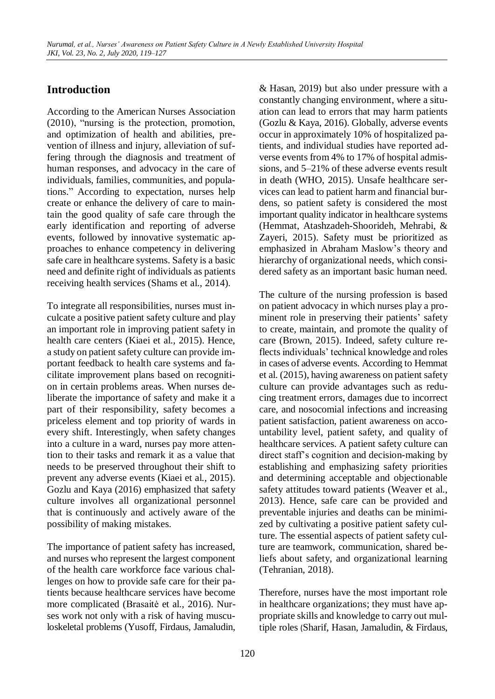# **Introduction**

According to the American Nurses Association (2010), "nursing is the protection, promotion, and optimization of health and abilities, prevention of illness and injury, alleviation of suffering through the diagnosis and treatment of human responses, and advocacy in the care of individuals, families, communities, and populations." According to expectation, nurses help create or enhance the delivery of care to maintain the good quality of safe care through the early identification and reporting of adverse events, followed by innovative systematic approaches to enhance competency in delivering safe care in healthcare systems. Safety is a basic need and definite right of individuals as patients receiving health services (Shams et al., 2014).

To integrate all responsibilities, nurses must inculcate a positive patient safety culture and play an important role in improving patient safety in health care centers (Kiaei et al., 2015). Hence, a study on patient safety culture can provide important feedback to health care systems and facilitate improvement plans based on recognition in certain problems areas. When nurses deliberate the importance of safety and make it a part of their responsibility, safety becomes a priceless element and top priority of wards in every shift. Interestingly, when safety changes into a culture in a ward, nurses pay more attention to their tasks and remark it as a value that needs to be preserved throughout their shift to prevent any adverse events (Kiaei et al., 2015). Gozlu and Kaya (2016) emphasized that safety culture involves all organizational personnel that is continuously and actively aware of the possibility of making mistakes.

The importance of patient safety has increased, and nurses who represent the largest component of the health care workforce face various challenges on how to provide safe care for their patients because healthcare services have become more complicated (Brasaitė et al., 2016). Nurses work not only with a risk of having musculoskeletal problems (Yusoff, Firdaus, Jamaludin,

& Hasan, 2019) but also under pressure with a constantly changing environment, where a situation can lead to errors that may harm patients (Gozlu & Kaya, 2016). Globally, adverse events occur in approximately 10% of hospitalized patients, and individual studies have reported adverse events from 4% to 17% of hospital admissions, and 5–21% of these adverse events result in death (WHO, 2015). Unsafe healthcare services can lead to patient harm and financial burdens, so patient safety is considered the most important quality indicator in healthcare systems (Hemmat, Atashzadeh-Shoorideh, Mehrabi, & Zayeri, 2015). Safety must be prioritized as emphasized in Abraham Maslow's theory and hierarchy of organizational needs, which considered safety as an important basic human need.

The culture of the nursing profession is based on patient advocacy in which nurses play a prominent role in preserving their patients' safety to create, maintain, and promote the quality of care (Brown, 2015). Indeed, safety culture reflects individuals' technical knowledge and roles in cases of adverse events. According to Hemmat et al. (2015), having awareness on patient safety culture can provide advantages such as reducing treatment errors, damages due to incorrect care, and nosocomial infections and increasing patient satisfaction, patient awareness on accountability level, patient safety, and quality of healthcare services. A patient safety culture can direct staff's cognition and decision-making by establishing and emphasizing safety priorities and determining acceptable and objectionable safety attitudes toward patients (Weaver et al., 2013). Hence, safe care can be provided and preventable injuries and deaths can be minimized by cultivating a positive patient safety culture. The essential aspects of patient safety culture are teamwork, communication, shared beliefs about safety, and organizational learning (Tehranian, 2018).

Therefore, nurses have the most important role in healthcare organizations; they must have appropriate skills and knowledge to carry out multiple roles (Sharif, Hasan, Jamaludin, & Firdaus,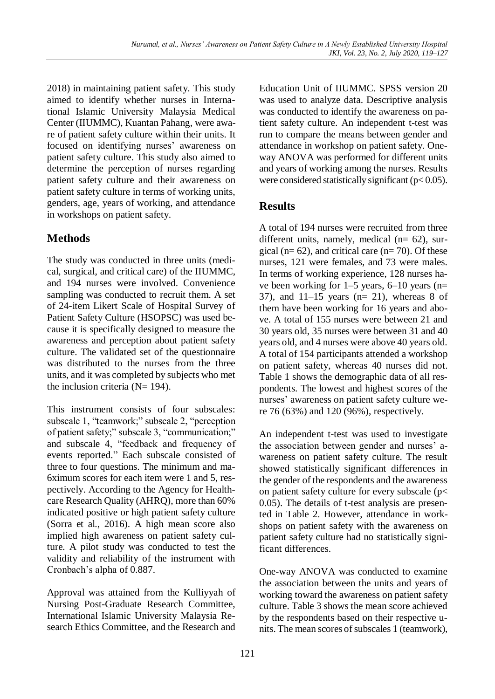2018) in maintaining patient safety. This study aimed to identify whether nurses in International Islamic University Malaysia Medical Center (IIUMMC), Kuantan Pahang, were aware of patient safety culture within their units. It focused on identifying nurses' awareness on patient safety culture. This study also aimed to determine the perception of nurses regarding patient safety culture and their awareness on patient safety culture in terms of working units, genders, age, years of working, and attendance in workshops on patient safety.

# **Methods**

The study was conducted in three units (medical, surgical, and critical care) of the IIUMMC, and 194 nurses were involved. Convenience sampling was conducted to recruit them. A set of 24-item Likert Scale of Hospital Survey of Patient Safety Culture (HSOPSC) was used because it is specifically designed to measure the awareness and perception about patient safety culture. The validated set of the questionnaire was distributed to the nurses from the three units, and it was completed by subjects who met the inclusion criteria ( $N= 194$ ).

This instrument consists of four subscales: subscale 1, "teamwork;" subscale 2, "perception of patient safety;" subscale 3, "communication;" and subscale 4, "feedback and frequency of events reported." Each subscale consisted of three to four questions. The minimum and ma-6ximum scores for each item were 1 and 5, respectively. According to the Agency for Healthcare Research Quality (AHRQ), more than 60% indicated positive or high patient safety culture (Sorra et al., 2016). A high mean score also implied high awareness on patient safety culture. A pilot study was conducted to test the validity and reliability of the instrument with Cronbach's alpha of 0.887.

Approval was attained from the Kulliyyah of Nursing Post-Graduate Research Committee, International Islamic University Malaysia Research Ethics Committee, and the Research and Education Unit of IIUMMC. SPSS version 20 was used to analyze data. Descriptive analysis was conducted to identify the awareness on patient safety culture. An independent t-test was run to compare the means between gender and attendance in workshop on patient safety. Oneway ANOVA was performed for different units and years of working among the nurses. Results were considered statistically significant ( $p < 0.05$ ).

# **Results**

A total of 194 nurses were recruited from three different units, namely, medical (n= 62), surgical ( $n= 62$ ), and critical care ( $n= 70$ ). Of these nurses, 121 were females, and 73 were males. In terms of working experience, 128 nurses have been working for 1–5 years, 6–10 years (n= 37), and  $11-15$  years (n= 21), whereas 8 of them have been working for 16 years and above. A total of 155 nurses were between 21 and 30 years old, 35 nurses were between 31 and 40 years old, and 4 nurses were above 40 years old. A total of 154 participants attended a workshop on patient safety, whereas 40 nurses did not. Table 1 shows the demographic data of all respondents. The lowest and highest scores of the nurses' awareness on patient safety culture were 76 (63%) and 120 (96%), respectively.

An independent t-test was used to investigate the association between gender and nurses' awareness on patient safety culture. The result showed statistically significant differences in the gender of the respondents and the awareness on patient safety culture for every subscale (p< 0.05). The details of t-test analysis are presented in Table 2. However, attendance in workshops on patient safety with the awareness on patient safety culture had no statistically significant differences.

One-way ANOVA was conducted to examine the association between the units and years of working toward the awareness on patient safety culture. Table 3 shows the mean score achieved by the respondents based on their respective units. The mean scores of subscales 1 (teamwork),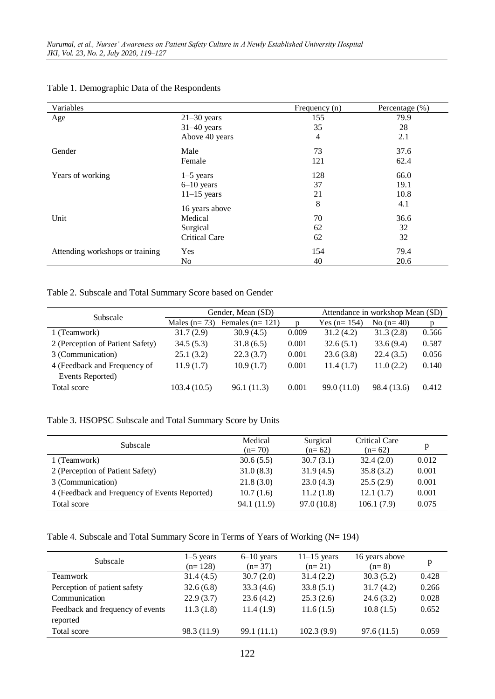| Variables                       |                | Frequency (n) | Percentage (%) |
|---------------------------------|----------------|---------------|----------------|
| Age                             | $21-30$ years  | 155           | 79.9           |
|                                 | $31-40$ years  | 35            | 28             |
|                                 | Above 40 years | 4             | 2.1            |
| Gender                          | Male           | 73            | 37.6           |
|                                 | Female         | 121           | 62.4           |
| Years of working                | $1-5$ years    | 128           | 66.0           |
|                                 | $6-10$ years   | 37            | 19.1           |
|                                 | $11-15$ years  | 21            | 10.8           |
|                                 | 16 years above | 8             | 4.1            |
| Unit                            | Medical        | 70            | 36.6           |
|                                 | Surgical       | 62            | 32             |
|                                 | Critical Care  | 62            | 32             |
| Attending workshops or training | Yes            | 154           | 79.4           |
|                                 | No             | 40            | 20.6           |

### Table 1. Demographic Data of the Respondents

### Table 2. Subscale and Total Summary Score based on Gender

| Subscale                         | Gender, Mean (SD) |                   |       | Attendance in workshop Mean (SD) |             |       |
|----------------------------------|-------------------|-------------------|-------|----------------------------------|-------------|-------|
|                                  | Males $(n=73)$    | Females $(n=121)$ | D     | Yes $(n=154)$                    | No $(n=40)$ | D     |
| 1 (Teamwork)                     | 31.7(2.9)         | 30.9(4.5)         | 0.009 | 31.2(4.2)                        | 31.3(2.8)   | 0.566 |
| 2 (Perception of Patient Safety) | 34.5(5.3)         | 31.8(6.5)         | 0.001 | 32.6(5.1)                        | 33.6(9.4)   | 0.587 |
| 3 (Communication)                | 25.1(3.2)         | 22.3(3.7)         | 0.001 | 23.6(3.8)                        | 22.4(3.5)   | 0.056 |
| 4 (Feedback and Frequency of     | 11.9(1.7)         | 10.9(1.7)         | 0.001 | 11.4(1.7)                        | 11.0(2.2)   | 0.140 |
| Events Reported)                 |                   |                   |       |                                  |             |       |
| Total score                      | 103.4(10.5)       | 96.1 (11.3)       | 0.001 | 99.0 (11.0)                      | 98.4 (13.6) | 0.412 |

### Table 3. HSOPSC Subscale and Total Summary Score by Units

| Subscale                                      | Medical<br>$(n=70)$ | Surgical<br>$(n=62)$ | Critical Care<br>$(n=62)$ |       |
|-----------------------------------------------|---------------------|----------------------|---------------------------|-------|
| 1 (Teamwork)                                  | 30.6(5.5)           | 30.7(3.1)            | 32.4(2.0)                 | 0.012 |
| 2 (Perception of Patient Safety)              | 31.0(8.3)           | 31.9(4.5)            | 35.8(3.2)                 | 0.001 |
| 3 (Communication)                             | 21.8(3.0)           | 23.0(4.3)            | 25.5(2.9)                 | 0.001 |
| 4 (Feedback and Frequency of Events Reported) | 10.7(1.6)           | 11.2(1.8)            | 12.1(1.7)                 | 0.001 |
| Total score                                   | 94.1 (11.9)         | 97.0(10.8)           | 106.1(7.9)                | 0.075 |

### Table 4. Subscale and Total Summary Score in Terms of Years of Working (N= 194)

| Subscale                         | $1-5$ years<br>$(n=128)$ | $6-10$ years<br>$(n=37)$ | $11-15$ years<br>$(n=21)$ | 16 years above<br>$(n=8)$ | p     |
|----------------------------------|--------------------------|--------------------------|---------------------------|---------------------------|-------|
| Teamwork                         | 31.4(4.5)                | 30.7(2.0)                | 31.4(2.2)                 | 30.3(5.2)                 | 0.428 |
| Perception of patient safety     | 32.6(6.8)                | 33.3(4.6)                | 33.8(5.1)                 | 31.7(4.2)                 | 0.266 |
| Communication                    | 22.9(3.7)                | 23.6(4.2)                | 25.3(2.6)                 | 24.6(3.2)                 | 0.028 |
| Feedback and frequency of events | 11.3(1.8)                | 11.4(1.9)                | 11.6(1.5)                 | 10.8(1.5)                 | 0.652 |
| reported                         |                          |                          |                           |                           |       |
| Total score                      | 98.3 (11.9)              | 99.1 (11.1)              | 102.3(9.9)                | 97.6(11.5)                | 0.059 |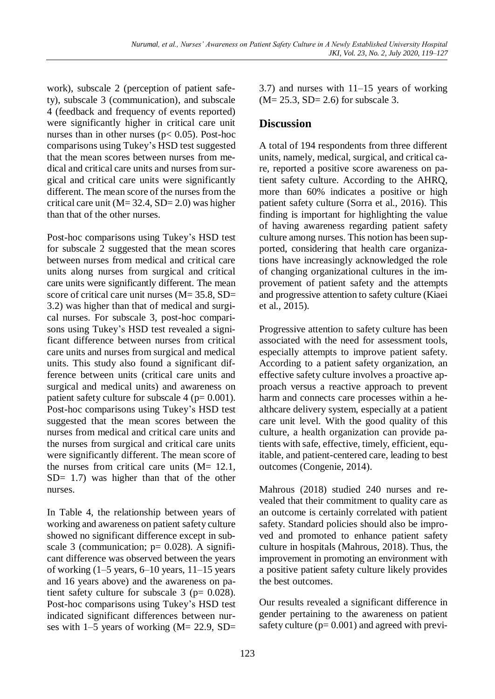work), subscale 2 (perception of patient safety), subscale 3 (communication), and subscale 4 (feedback and frequency of events reported) were significantly higher in critical care unit nurses than in other nurses (p< 0.05). Post-hoc comparisons using Tukey's HSD test suggested that the mean scores between nurses from medical and critical care units and nurses from surgical and critical care units were significantly different. The mean score of the nurses from the critical care unit ( $M = 32.4$ ,  $SD = 2.0$ ) was higher than that of the other nurses.

Post-hoc comparisons using Tukey's HSD test for subscale 2 suggested that the mean scores between nurses from medical and critical care units along nurses from surgical and critical care units were significantly different. The mean score of critical care unit nurses (M= 35.8, SD= 3.2) was higher than that of medical and surgical nurses. For subscale 3, post-hoc comparisons using Tukey's HSD test revealed a significant difference between nurses from critical care units and nurses from surgical and medical units. This study also found a significant difference between units (critical care units and surgical and medical units) and awareness on patient safety culture for subscale  $4$  ( $p= 0.001$ ). Post-hoc comparisons using Tukey's HSD test suggested that the mean scores between the nurses from medical and critical care units and the nurses from surgical and critical care units were significantly different. The mean score of the nurses from critical care units (M= 12.1, SD= 1.7) was higher than that of the other nurses.

In Table 4, the relationship between years of working and awareness on patient safety culture showed no significant difference except in subscale 3 (communication;  $p= 0.028$ ). A significant difference was observed between the years of working  $(1-5$  years,  $6-10$  years,  $11-15$  years and 16 years above) and the awareness on patient safety culture for subscale  $3$  ( $p= 0.028$ ). Post-hoc comparisons using Tukey's HSD test indicated significant differences between nurses with 1–5 years of working (M= 22.9, SD= 3.7) and nurses with 11–15 years of working  $(M = 25.3, SD = 2.6)$  for subscale 3.

### **Discussion**

A total of 194 respondents from three different units, namely, medical, surgical, and critical care, reported a positive score awareness on patient safety culture. According to the AHRQ, more than 60% indicates a positive or high patient safety culture (Sorra et al., 2016). This finding is important for highlighting the value of having awareness regarding patient safety culture among nurses. This notion has been supported, considering that health care organizations have increasingly acknowledged the role of changing organizational cultures in the improvement of patient safety and the attempts and progressive attention to safety culture (Kiaei et al., 2015).

Progressive attention to safety culture has been associated with the need for assessment tools, especially attempts to improve patient safety. According to a patient safety organization, an effective safety culture involves a proactive approach versus a reactive approach to prevent harm and connects care processes within a healthcare delivery system, especially at a patient care unit level. With the good quality of this culture, a health organization can provide patients with safe, effective, timely, efficient, equitable, and patient-centered care, leading to best outcomes (Congenie, 2014).

Mahrous (2018) studied 240 nurses and revealed that their commitment to quality care as an outcome is certainly correlated with patient safety. Standard policies should also be improved and promoted to enhance patient safety culture in hospitals (Mahrous, 2018). Thus, the improvement in promoting an environment with a positive patient safety culture likely provides the best outcomes.

Our results revealed a significant difference in gender pertaining to the awareness on patient safety culture  $(p= 0.001)$  and agreed with previ-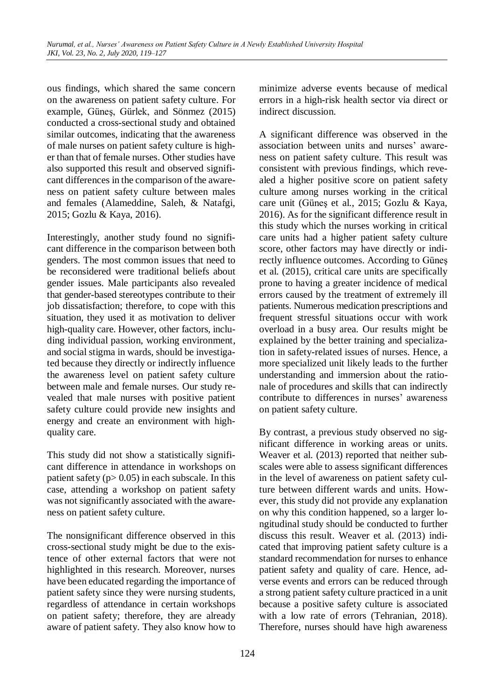ous findings, which shared the same concern on the awareness on patient safety culture. For example, Güneş, Gürlek, and Sönmez (2015) conducted a cross-sectional study and obtained similar outcomes, indicating that the awareness of male nurses on patient safety culture is higher than that of female nurses. Other studies have also supported this result and observed significant differences in the comparison of the awareness on patient safety culture between males and females (Alameddine, Saleh, & Natafgi, 2015; Gozlu & Kaya, 2016).

Interestingly, another study found no significant difference in the comparison between both genders. The most common issues that need to be reconsidered were traditional beliefs about gender issues. Male participants also revealed that gender-based stereotypes contribute to their job dissatisfaction; therefore, to cope with this situation, they used it as motivation to deliver high-quality care. However, other factors, including individual passion, working environment, and social stigma in wards, should be investigated because they directly or indirectly influence the awareness level on patient safety culture between male and female nurses. Our study revealed that male nurses with positive patient safety culture could provide new insights and energy and create an environment with highquality care.

This study did not show a statistically significant difference in attendance in workshops on patient safety ( $p > 0.05$ ) in each subscale. In this case, attending a workshop on patient safety was not significantly associated with the awareness on patient safety culture.

The nonsignificant difference observed in this cross-sectional study might be due to the existence of other external factors that were not highlighted in this research. Moreover, nurses have been educated regarding the importance of patient safety since they were nursing students, regardless of attendance in certain workshops on patient safety; therefore, they are already aware of patient safety. They also know how to minimize adverse events because of medical errors in a high-risk health sector via direct or indirect discussion.

A significant difference was observed in the association between units and nurses' awareness on patient safety culture. This result was consistent with previous findings, which revealed a higher positive score on patient safety culture among nurses working in the critical care unit (Güneş et al., 2015; Gozlu & Kaya, 2016). As for the significant difference result in this study which the nurses working in critical care units had a higher patient safety culture score, other factors may have directly or indirectly influence outcomes. According to Güneş et al. (2015), critical care units are specifically prone to having a greater incidence of medical errors caused by the treatment of extremely ill patients. Numerous medication prescriptions and frequent stressful situations occur with work overload in a busy area. Our results might be explained by the better training and specialization in safety-related issues of nurses. Hence, a more specialized unit likely leads to the further understanding and immersion about the rationale of procedures and skills that can indirectly contribute to differences in nurses' awareness on patient safety culture.

By contrast, a previous study observed no significant difference in working areas or units. Weaver et al. (2013) reported that neither subscales were able to assess significant differences in the level of awareness on patient safety culture between different wards and units. However, this study did not provide any explanation on why this condition happened, so a larger longitudinal study should be conducted to further discuss this result. Weaver et al. (2013) indicated that improving patient safety culture is a standard recommendation for nurses to enhance patient safety and quality of care. Hence, adverse events and errors can be reduced through a strong patient safety culture practiced in a unit because a positive safety culture is associated with a low rate of errors (Tehranian, 2018). Therefore, nurses should have high awareness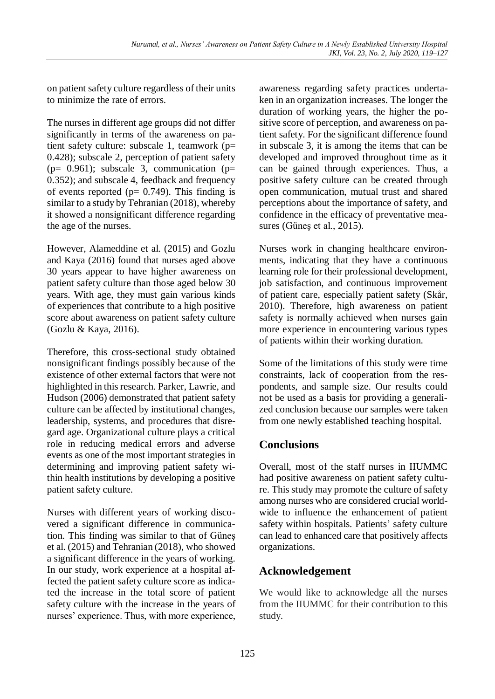on patient safety culture regardless of their units to minimize the rate of errors.

The nurses in different age groups did not differ significantly in terms of the awareness on patient safety culture: subscale 1, teamwork (p= 0.428); subscale 2, perception of patient safety ( $p= 0.961$ ); subscale 3, communication ( $p=$ 0.352); and subscale 4, feedback and frequency of events reported ( $p= 0.749$ ). This finding is similar to a study by Tehranian (2018), whereby it showed a nonsignificant difference regarding the age of the nurses.

However, Alameddine et al. (2015) and Gozlu and Kaya (2016) found that nurses aged above 30 years appear to have higher awareness on patient safety culture than those aged below 30 years. With age, they must gain various kinds of experiences that contribute to a high positive score about awareness on patient safety culture (Gozlu & Kaya, 2016).

Therefore, this cross-sectional study obtained nonsignificant findings possibly because of the existence of other external factors that were not highlighted in this research. Parker, Lawrie, and Hudson (2006) demonstrated that patient safety culture can be affected by institutional changes, leadership, systems, and procedures that disregard age. Organizational culture plays a critical role in reducing medical errors and adverse events as one of the most important strategies in determining and improving patient safety within health institutions by developing a positive patient safety culture.

Nurses with different years of working discovered a significant difference in communication. This finding was similar to that of Güneş et al. (2015) and Tehranian (2018), who showed a significant difference in the years of working. In our study, work experience at a hospital affected the patient safety culture score as indicated the increase in the total score of patient safety culture with the increase in the years of nurses' experience. Thus, with more experience, awareness regarding safety practices undertaken in an organization increases. The longer the duration of working years, the higher the positive score of perception, and awareness on patient safety. For the significant difference found in subscale 3, it is among the items that can be developed and improved throughout time as it can be gained through experiences. Thus, a positive safety culture can be created through open communication, mutual trust and shared perceptions about the importance of safety, and confidence in the efficacy of preventative measures (Güneş et al., 2015).

Nurses work in changing healthcare environments, indicating that they have a continuous learning role for their professional development, job satisfaction, and continuous improvement of patient care, especially patient safety (Skår, 2010). Therefore, high awareness on patient safety is normally achieved when nurses gain more experience in encountering various types of patients within their working duration.

Some of the limitations of this study were time constraints, lack of cooperation from the respondents, and sample size. Our results could not be used as a basis for providing a generalized conclusion because our samples were taken from one newly established teaching hospital.

### **Conclusions**

Overall, most of the staff nurses in IIUMMC had positive awareness on patient safety culture. This study may promote the culture of safety among nurses who are considered crucial worldwide to influence the enhancement of patient safety within hospitals. Patients' safety culture can lead to enhanced care that positively affects organizations.

# **Acknowledgement**

We would like to acknowledge all the nurses from the IIUMMC for their contribution to this study.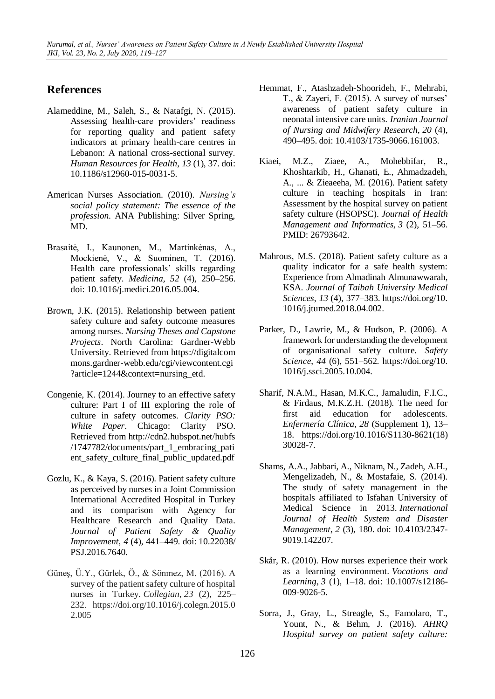### **References**

- Alameddine, M., Saleh, S., & Natafgi, N. (2015). Assessing health-care providers' readiness for reporting quality and patient safety indicators at primary health-care centres in Lebanon: A national cross-sectional survey. *Human Resources for Health*, *13* (1), 37. doi: 10.1186/s12960-015-0031-5.
- American Nurses Association. (2010). *Nursing's social policy statement: The essence of the profession*. ANA Publishing: Silver Spring, MD.
- Brasaitė, I., Kaunonen, M., Martinkėnas, A., Mockienė, V., & Suominen, T. (2016). Health care professionals' skills regarding patient safety. *Medicina, 52* (4), 250–256. doi: 10.1016/j.medici.2016.05.004.
- Brown, J.K. (2015). Relationship between patient safety culture and safety outcome measures among nurses. *Nursing Theses and Capstone Projects*. North Carolina: Gardner-Webb University. Retrieved from https://digitalcom mons.gardner-webb.edu/cgi/viewcontent.cgi ?article=1244&context=nursing\_etd.
- Congenie, K. (2014). Journey to an effective safety culture: Part I of III exploring the role of culture in safety outcomes. *Clarity PSO: White Paper*. Chicago: Clarity PSO. Retrieved from http://cdn2.hubspot.net/hubfs /1747782/documents/part\_1\_embracing\_pati ent\_safety\_culture\_final\_public\_updated.pdf
- Gozlu, K., & Kaya, S. (2016). Patient safety culture as perceived by nurses in a Joint Commission International Accredited Hospital in Turkey and its comparison with Agency for Healthcare Research and Quality Data. *Journal of Patient Safety & Quality Improvement*, *4* (4), 441–449. doi: 10.22038/ PSJ.2016.7640.
- Güneş, Ü.Y., Gürlek, Ö., & Sönmez, M. (2016). A survey of the patient safety culture of hospital nurses in Turkey. *Collegian*, *23* (2), 225– 232. https://doi.org/10.1016/j.colegn.2015.0 2.005
- Hemmat, F., Atashzadeh-Shoorideh, F., Mehrabi, T., & Zayeri, F. (2015). A survey of nurses' awareness of patient safety culture in neonatal intensive care units. *Iranian Journal of Nursing and Midwifery Research*, *20* (4), 490–495. doi: 10.4103/1735-9066.161003.
- Kiaei, M.Z., Ziaee, A., Mohebbifar, R., Khoshtarkib, H., Ghanati, E., Ahmadzadeh, A., ... & Zieaeeha, M. (2016). Patient safety culture in teaching hospitals in Iran: Assessment by the hospital survey on patient safety culture (HSOPSC). *Journal of Health Management and Informatics*, *3* (2), 51–56. PMID: 26793642.
- Mahrous, M.S. (2018). Patient safety culture as a quality indicator for a safe health system: Experience from Almadinah Almunawwarah, KSA. *Journal of Taibah University Medical Sciences*, *13* (4), 377–383. https://doi.org/10. 1016/j.jtumed.2018.04.002.
- Parker, D., Lawrie, M., & Hudson, P. (2006). A framework for understanding the development of organisational safety culture. *Safety Science*, *44* (6), 551–562. https://doi.org/10. 1016/j.ssci.2005.10.004.
- Sharif, N.A.M., Hasan, M.K.C., Jamaludin, F.I.C., & Firdaus, M.K.Z.H. (2018). The need for first aid education for adolescents. *Enfermería Clínica*, *28* (Supplement 1), 13– 18. https://doi.org/10.1016/S1130-8621(18) 30028-7.
- Shams, A.A., Jabbari, A., Niknam, N., Zadeh, A.H., Mengelizadeh, N., & Mostafaie, S. (2014). The study of safety management in the hospitals affiliated to Isfahan University of Medical Science in 2013. *International Journal of Health System and Disaster Management*, *2* (3), 180. doi: 10.4103/2347- 9019.142207.
- Skår, R. (2010). How nurses experience their work as a learning environment. *Vocations and Learning*, *3* (1), 1–18. doi: 10.1007/s12186- 009-9026-5.
- Sorra, J., Gray, L., Streagle, S., Famolaro, T., Yount, N., & Behm, J. (2016). *AHRQ Hospital survey on patient safety culture:*